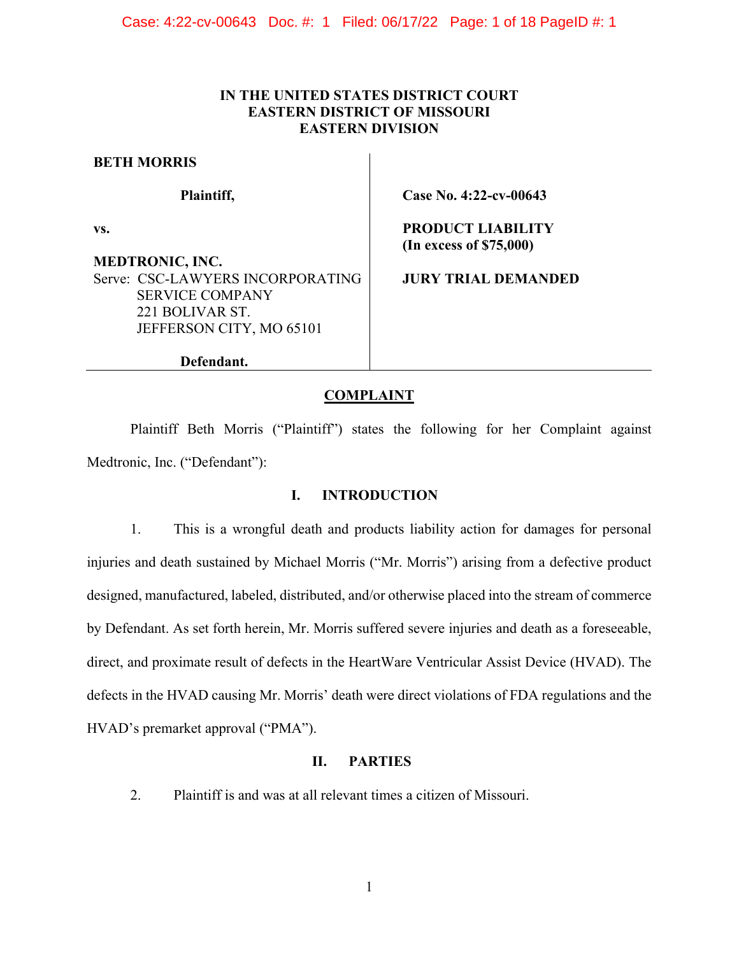# **IN THE UNITED STATES DISTRICT COURT EASTERN DISTRICT OF MISSOURI EASTERN DIVISION**

**BETH MORRIS** 

**Plaintiff,**

**vs.**

**MEDTRONIC, INC.** Serve: CSC-LAWYERS INCORPORATING SERVICE COMPANY 221 BOLIVAR ST. JEFFERSON CITY, MO 65101

**Case No. 4:22-cv-00643**

**PRODUCT LIABILITY (In excess of \$75,000)**

**JURY TRIAL DEMANDED**

**Defendant.**

## **COMPLAINT**

Plaintiff Beth Morris ("Plaintiff") states the following for her Complaint against Medtronic, Inc. ("Defendant"):

### **I. INTRODUCTION**

1. This is a wrongful death and products liability action for damages for personal injuries and death sustained by Michael Morris ("Mr. Morris") arising from a defective product designed, manufactured, labeled, distributed, and/or otherwise placed into the stream of commerce by Defendant. As set forth herein, Mr. Morris suffered severe injuries and death as a foreseeable, direct, and proximate result of defects in the HeartWare Ventricular Assist Device (HVAD). The defects in the HVAD causing Mr. Morris' death were direct violations of FDA regulations and the HVAD's premarket approval ("PMA").

## **II. PARTIES**

2. Plaintiff is and was at all relevant times a citizen of Missouri.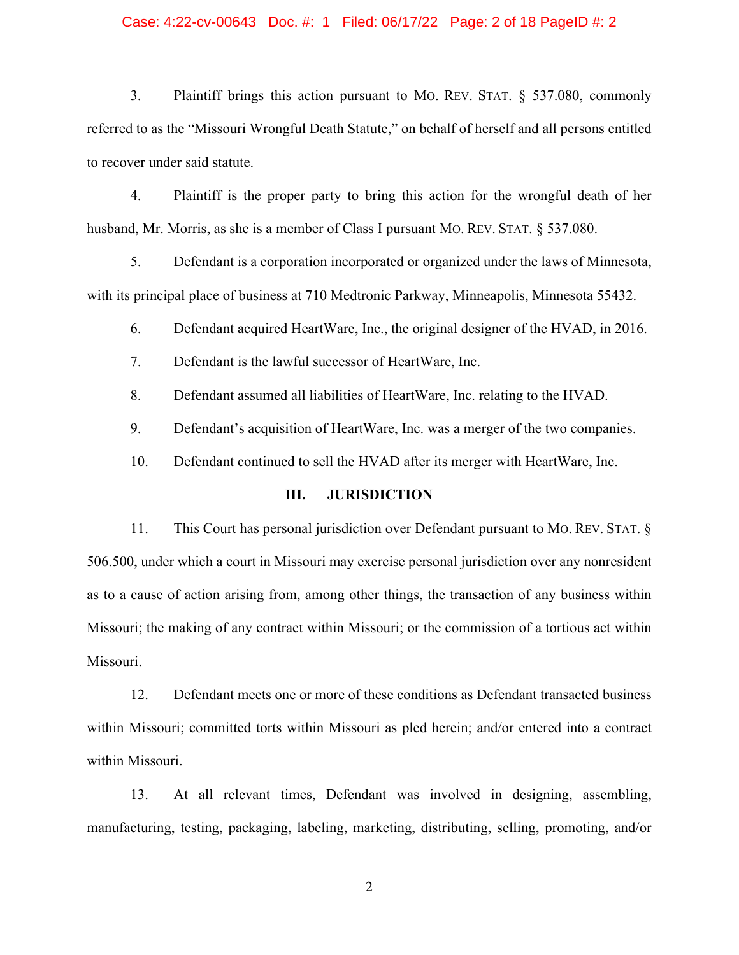## Case: 4:22-cv-00643 Doc. #: 1 Filed: 06/17/22 Page: 2 of 18 PageID #: 2

3. Plaintiff brings this action pursuant to MO. REV. STAT. § 537.080, commonly referred to as the "Missouri Wrongful Death Statute," on behalf of herself and all persons entitled to recover under said statute.

4. Plaintiff is the proper party to bring this action for the wrongful death of her husband, Mr. Morris, as she is a member of Class I pursuant Mo. REV. STAT. § 537.080.

5. Defendant is a corporation incorporated or organized under the laws of Minnesota, with its principal place of business at 710 Medtronic Parkway, Minneapolis, Minnesota 55432.

6. Defendant acquired HeartWare, Inc., the original designer of the HVAD, in 2016.

7. Defendant is the lawful successor of HeartWare, Inc.

8. Defendant assumed all liabilities of HeartWare, Inc. relating to the HVAD.

9. Defendant's acquisition of HeartWare, Inc. was a merger of the two companies.

10. Defendant continued to sell the HVAD after its merger with HeartWare, Inc.

## **III. JURISDICTION**

11. This Court has personal jurisdiction over Defendant pursuant to MO. REV. STAT. § 506.500, under which a court in Missouri may exercise personal jurisdiction over any nonresident as to a cause of action arising from, among other things, the transaction of any business within Missouri; the making of any contract within Missouri; or the commission of a tortious act within Missouri.

12. Defendant meets one or more of these conditions as Defendant transacted business within Missouri; committed torts within Missouri as pled herein; and/or entered into a contract within Missouri.

13. At all relevant times, Defendant was involved in designing, assembling, manufacturing, testing, packaging, labeling, marketing, distributing, selling, promoting, and/or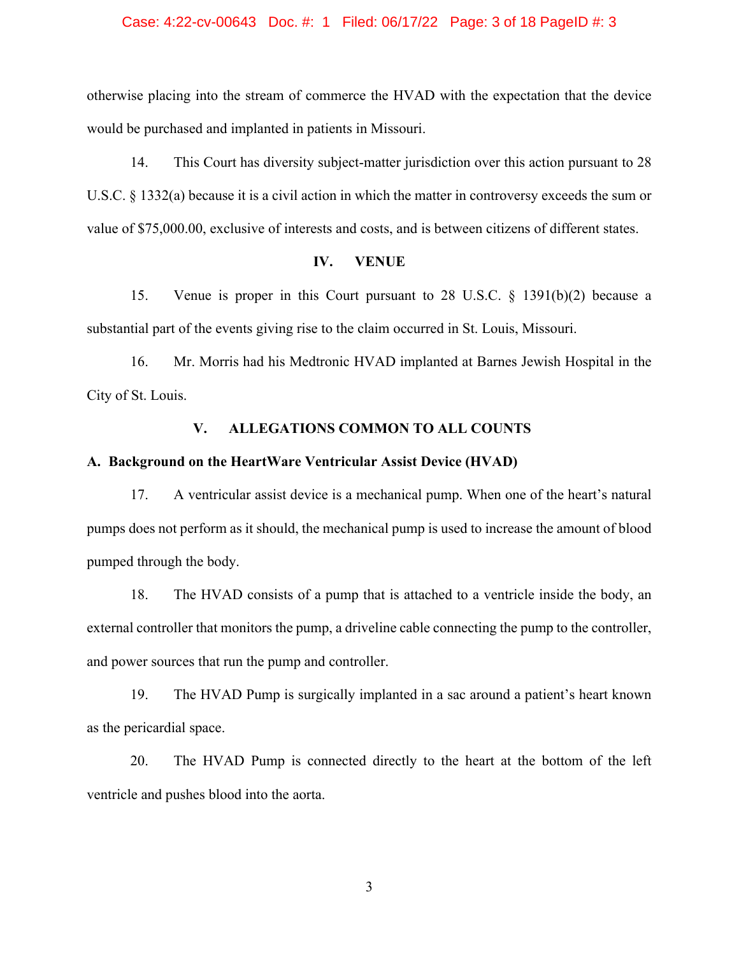### Case: 4:22-cv-00643 Doc. #: 1 Filed: 06/17/22 Page: 3 of 18 PageID #: 3

otherwise placing into the stream of commerce the HVAD with the expectation that the device would be purchased and implanted in patients in Missouri.

14. This Court has diversity subject-matter jurisdiction over this action pursuant to 28 U.S.C. § 1332(a) because it is a civil action in which the matter in controversy exceeds the sum or value of \$75,000.00, exclusive of interests and costs, and is between citizens of different states.

## **IV. VENUE**

15. Venue is proper in this Court pursuant to 28 U.S.C. § 1391(b)(2) because a substantial part of the events giving rise to the claim occurred in St. Louis, Missouri.

16. Mr. Morris had his Medtronic HVAD implanted at Barnes Jewish Hospital in the City of St. Louis.

## **V. ALLEGATIONS COMMON TO ALL COUNTS**

## **A. Background on the HeartWare Ventricular Assist Device (HVAD)**

17. A ventricular assist device is a mechanical pump. When one of the heart's natural pumps does not perform as it should, the mechanical pump is used to increase the amount of blood pumped through the body.

18. The HVAD consists of a pump that is attached to a ventricle inside the body, an external controller that monitors the pump, a driveline cable connecting the pump to the controller, and power sources that run the pump and controller.

19. The HVAD Pump is surgically implanted in a sac around a patient's heart known as the pericardial space.

20. The HVAD Pump is connected directly to the heart at the bottom of the left ventricle and pushes blood into the aorta.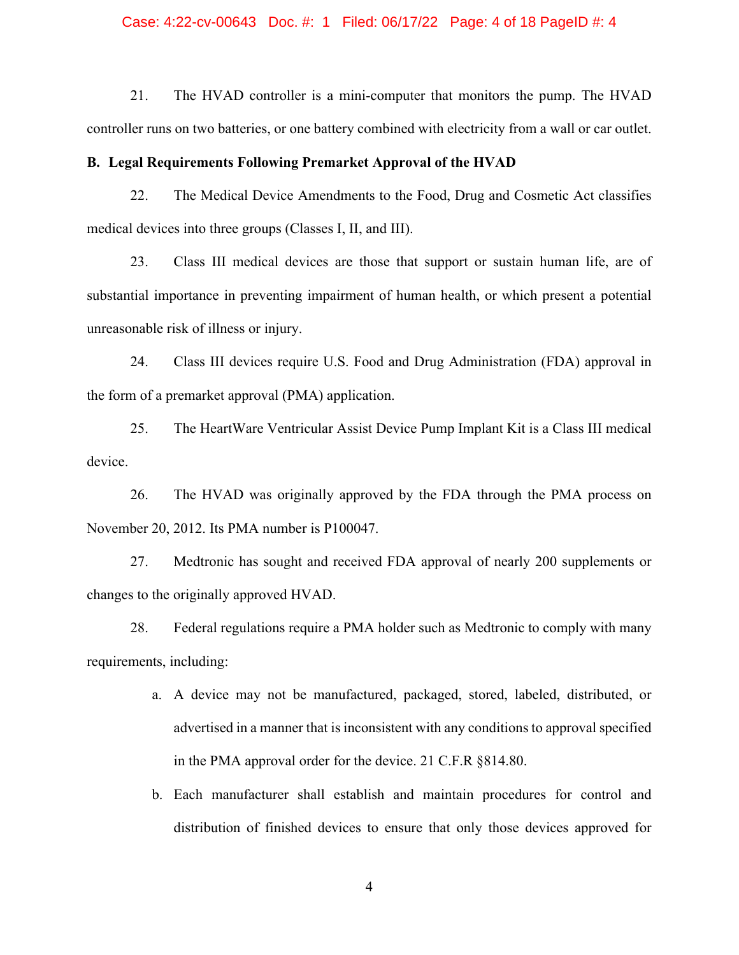### Case: 4:22-cv-00643 Doc. #: 1 Filed: 06/17/22 Page: 4 of 18 PageID #: 4

21. The HVAD controller is a mini-computer that monitors the pump. The HVAD controller runs on two batteries, or one battery combined with electricity from a wall or car outlet.

# **B. Legal Requirements Following Premarket Approval of the HVAD**

22. The Medical Device Amendments to the Food, Drug and Cosmetic Act classifies medical devices into three groups (Classes I, II, and III).

23. Class III medical devices are those that support or sustain human life, are of substantial importance in preventing impairment of human health, or which present a potential unreasonable risk of illness or injury.

24. Class III devices require U.S. Food and Drug Administration (FDA) approval in the form of a premarket approval (PMA) application.

25. The HeartWare Ventricular Assist Device Pump Implant Kit is a Class III medical device.

26. The HVAD was originally approved by the FDA through the PMA process on November 20, 2012. Its PMA number is P100047.

27. Medtronic has sought and received FDA approval of nearly 200 supplements or changes to the originally approved HVAD.

28. Federal regulations require a PMA holder such as Medtronic to comply with many requirements, including:

- a. A device may not be manufactured, packaged, stored, labeled, distributed, or advertised in a manner that is inconsistent with any conditions to approval specified in the PMA approval order for the device. 21 C.F.R §814.80.
- b. Each manufacturer shall establish and maintain procedures for control and distribution of finished devices to ensure that only those devices approved for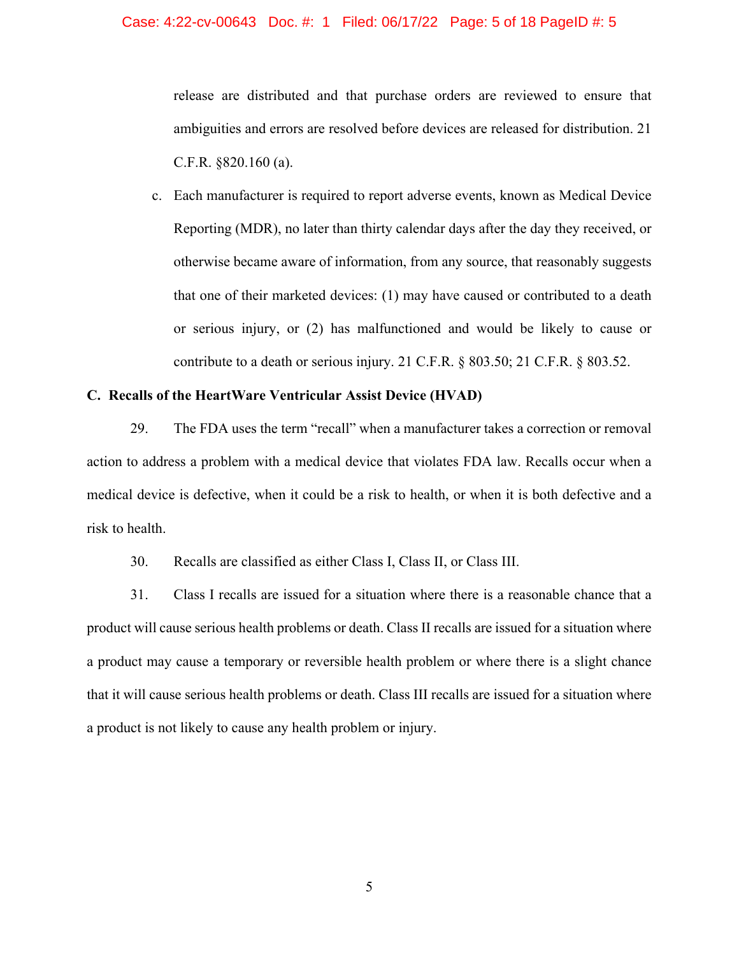### Case: 4:22-cv-00643 Doc. #: 1 Filed: 06/17/22 Page: 5 of 18 PageID #: 5

release are distributed and that purchase orders are reviewed to ensure that ambiguities and errors are resolved before devices are released for distribution. 21 C.F.R. §820.160 (a).

c. Each manufacturer is required to report adverse events, known as Medical Device Reporting (MDR), no later than thirty calendar days after the day they received, or otherwise became aware of information, from any source, that reasonably suggests that one of their marketed devices: (1) may have caused or contributed to a death or serious injury, or (2) has malfunctioned and would be likely to cause or contribute to a death or serious injury. 21 C.F.R. § 803.50; 21 C.F.R. § 803.52.

## **C. Recalls of the HeartWare Ventricular Assist Device (HVAD)**

29. The FDA uses the term "recall" when a manufacturer takes a correction or removal action to address a problem with a medical device that violates FDA law. Recalls occur when a medical device is defective, when it could be a risk to health, or when it is both defective and a risk to health.

30. Recalls are classified as either Class I, Class II, or Class III.

31. Class I recalls are issued for a situation where there is a reasonable chance that a product will cause serious health problems or death. Class II recalls are issued for a situation where a product may cause a temporary or reversible health problem or where there is a slight chance that it will cause serious health problems or death. Class III recalls are issued for a situation where a product is not likely to cause any health problem or injury.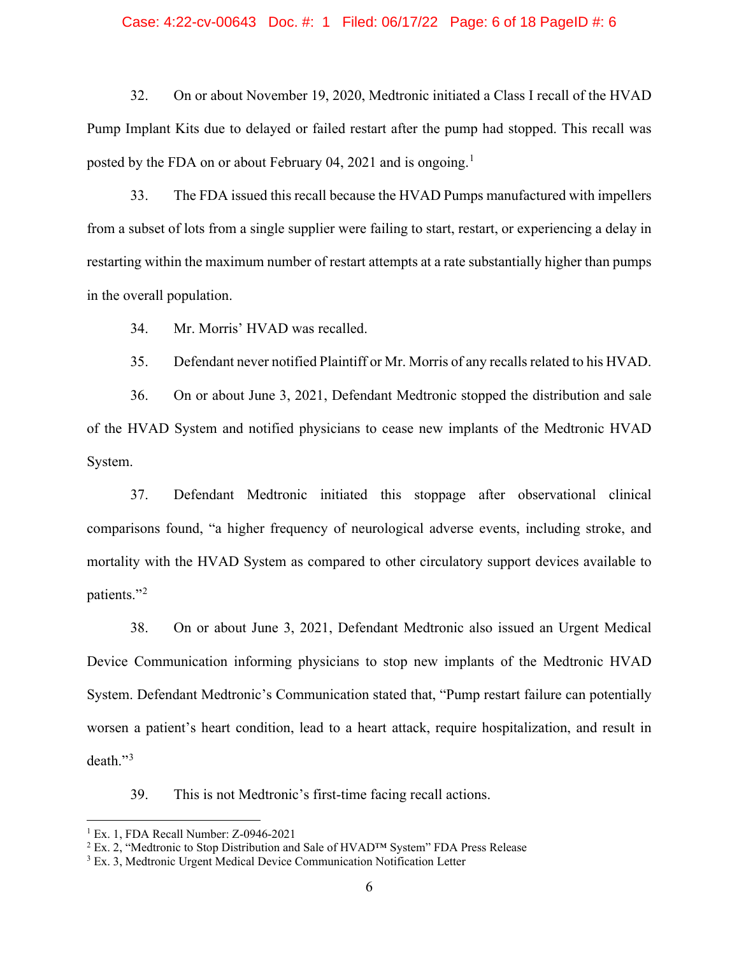### Case: 4:22-cv-00643 Doc. #: 1 Filed: 06/17/22 Page: 6 of 18 PageID #: 6

32. On or about November 19, 2020, Medtronic initiated a Class I recall of the HVAD Pump Implant Kits due to delayed or failed restart after the pump had stopped. This recall was posted by the FDA on or about February 04, 202[1](#page-5-0) and is ongoing.<sup>1</sup>

33. The FDA issued this recall because the HVAD Pumps manufactured with impellers from a subset of lots from a single supplier were failing to start, restart, or experiencing a delay in restarting within the maximum number of restart attempts at a rate substantially higher than pumps in the overall population.

34. Mr. Morris' HVAD was recalled.

35. Defendant never notified Plaintiff or Mr. Morris of any recalls related to his HVAD.

36. On or about June 3, 2021, Defendant Medtronic stopped the distribution and sale of the HVAD System and notified physicians to cease new implants of the Medtronic HVAD System.

37. Defendant Medtronic initiated this stoppage after observational clinical comparisons found, "a higher frequency of neurological adverse events, including stroke, and mortality with the HVAD System as compared to other circulatory support devices available to patients."[2](#page-5-1)

38. On or about June 3, 2021, Defendant Medtronic also issued an Urgent Medical Device Communication informing physicians to stop new implants of the Medtronic HVAD System. Defendant Medtronic's Communication stated that, "Pump restart failure can potentially worsen a patient's heart condition, lead to a heart attack, require hospitalization, and result in death."[3](#page-5-2)

39. This is not Medtronic's first-time facing recall actions.

<span id="page-5-0"></span><sup>1</sup> Ex. 1, FDA Recall Number: Z-0946-2021

<span id="page-5-1"></span><sup>2</sup> Ex. 2, "Medtronic to Stop Distribution and Sale of HVAD™ System" FDA Press Release

<span id="page-5-2"></span><sup>&</sup>lt;sup>3</sup> Ex. 3, Medtronic Urgent Medical Device Communication Notification Letter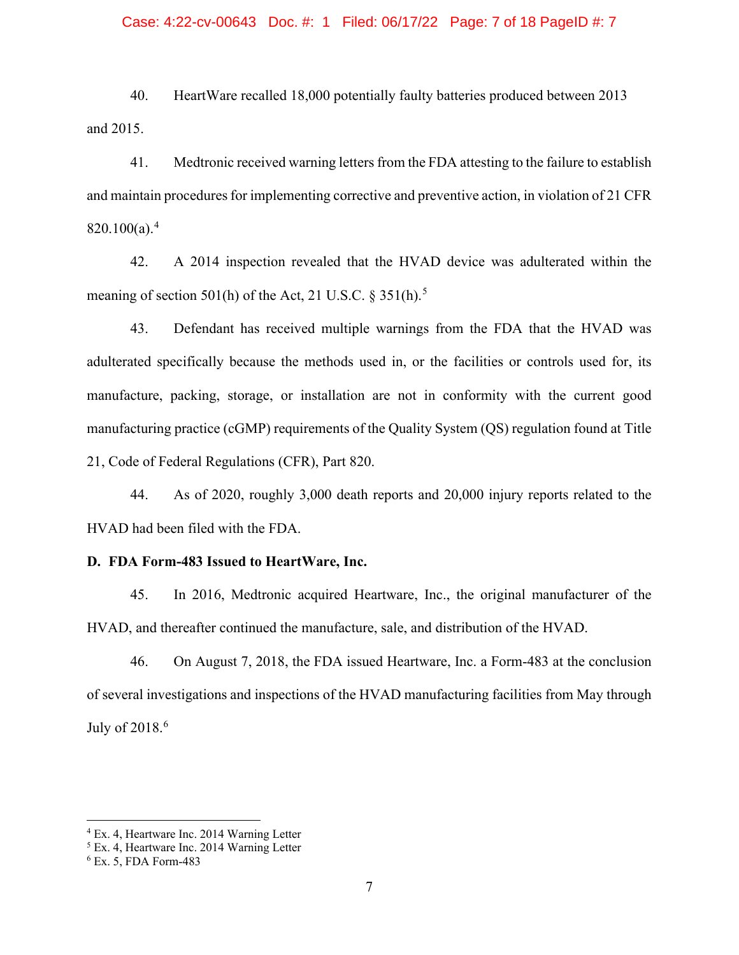### Case: 4:22-cv-00643 Doc. #: 1 Filed: 06/17/22 Page: 7 of 18 PageID #: 7

40. HeartWare recalled 18,000 potentially faulty batteries produced between 2013 and 2015.

41. Medtronic received warning letters from the FDA attesting to the failure to establish and maintain procedures for implementing corrective and preventive action, in violation of 21 CFR  $820.100(a).<sup>4</sup>$  $820.100(a).<sup>4</sup>$  $820.100(a).<sup>4</sup>$ 

42. A 2014 inspection revealed that the HVAD device was adulterated within the meaning of section [5](#page-6-1)01(h) of the Act, 21 U.S.C.  $\S 351(h)$ .<sup>5</sup>

43. Defendant has received multiple warnings from the FDA that the HVAD was adulterated specifically because the methods used in, or the facilities or controls used for, its manufacture, packing, storage, or installation are not in conformity with the current good manufacturing practice (cGMP) requirements of the Quality System (QS) regulation found at Title 21, Code of Federal Regulations (CFR), Part 820.

44. As of 2020, roughly 3,000 death reports and 20,000 injury reports related to the HVAD had been filed with the FDA.

#### **D. FDA Form-483 Issued to HeartWare, Inc.**

45. In 2016, Medtronic acquired Heartware, Inc., the original manufacturer of the HVAD, and thereafter continued the manufacture, sale, and distribution of the HVAD.

46. On August 7, 2018, the FDA issued Heartware, Inc. a Form-483 at the conclusion of several investigations and inspections of the HVAD manufacturing facilities from May through July of 2018.<sup>[6](#page-6-2)</sup>

<span id="page-6-0"></span><sup>4</sup> Ex. 4, Heartware Inc. 2014 Warning Letter

<span id="page-6-1"></span><sup>&</sup>lt;sup>5</sup> Ex. 4, Heartware Inc. 2014 Warning Letter

<span id="page-6-2"></span><sup>6</sup> Ex. 5, FDA Form-483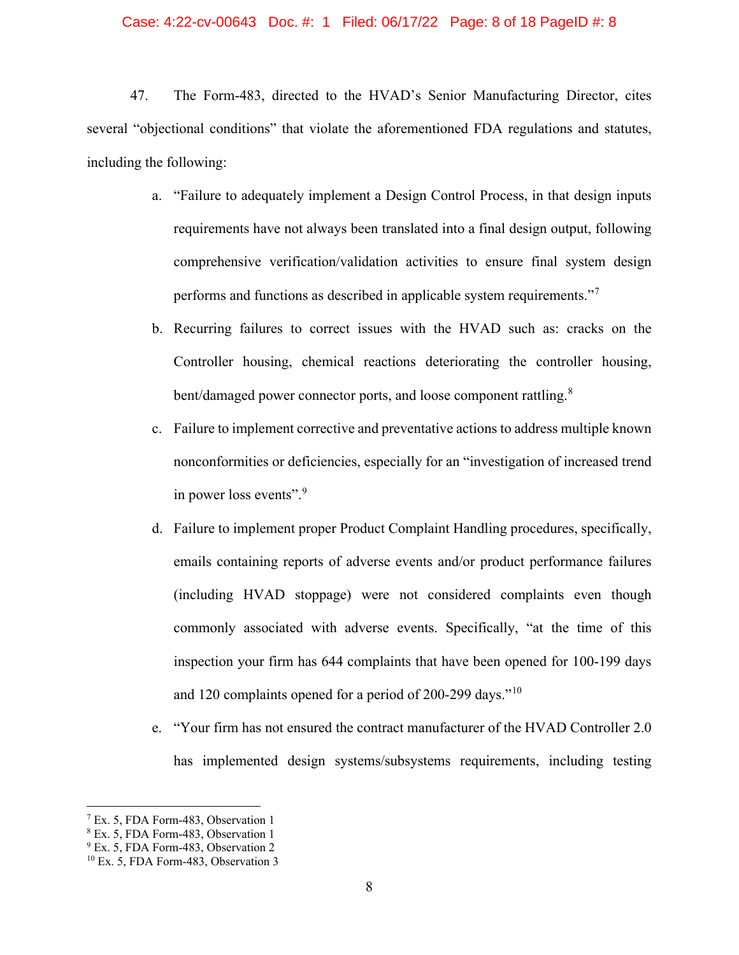## Case: 4:22-cv-00643 Doc. #: 1 Filed: 06/17/22 Page: 8 of 18 PageID #: 8

47. The Form-483, directed to the HVAD's Senior Manufacturing Director, cites several "objectional conditions" that violate the aforementioned FDA regulations and statutes, including the following:

- a. "Failure to adequately implement a Design Control Process, in that design inputs requirements have not always been translated into a final design output, following comprehensive verification/validation activities to ensure final system design performs and functions as described in applicable system requirements."[7](#page-7-0)
- b. Recurring failures to correct issues with the HVAD such as: cracks on the Controller housing, chemical reactions deteriorating the controller housing, bent/damaged power connector ports, and loose component rattling.<sup>[8](#page-7-1)</sup>
- c. Failure to implement corrective and preventative actions to address multiple known nonconformities or deficiencies, especially for an "investigation of increased trend in power loss events".<sup>[9](#page-7-2)</sup>
- d. Failure to implement proper Product Complaint Handling procedures, specifically, emails containing reports of adverse events and/or product performance failures (including HVAD stoppage) were not considered complaints even though commonly associated with adverse events. Specifically, "at the time of this inspection your firm has 644 complaints that have been opened for 100-199 days and 120 complaints opened for a period of 200-299 days."<sup>[10](#page-7-3)</sup>
- e. "Your firm has not ensured the contract manufacturer of the HVAD Controller 2.0 has implemented design systems/subsystems requirements, including testing

<span id="page-7-0"></span><sup>7</sup> Ex. 5, FDA Form-483, Observation 1

<span id="page-7-1"></span><sup>8</sup> Ex. 5, FDA Form-483, Observation 1

<span id="page-7-2"></span><sup>&</sup>lt;sup>9</sup> Ex. 5, FDA Form-483, Observation 2

<span id="page-7-3"></span><sup>&</sup>lt;sup>10</sup> Ex. 5, FDA Form-483, Observation 3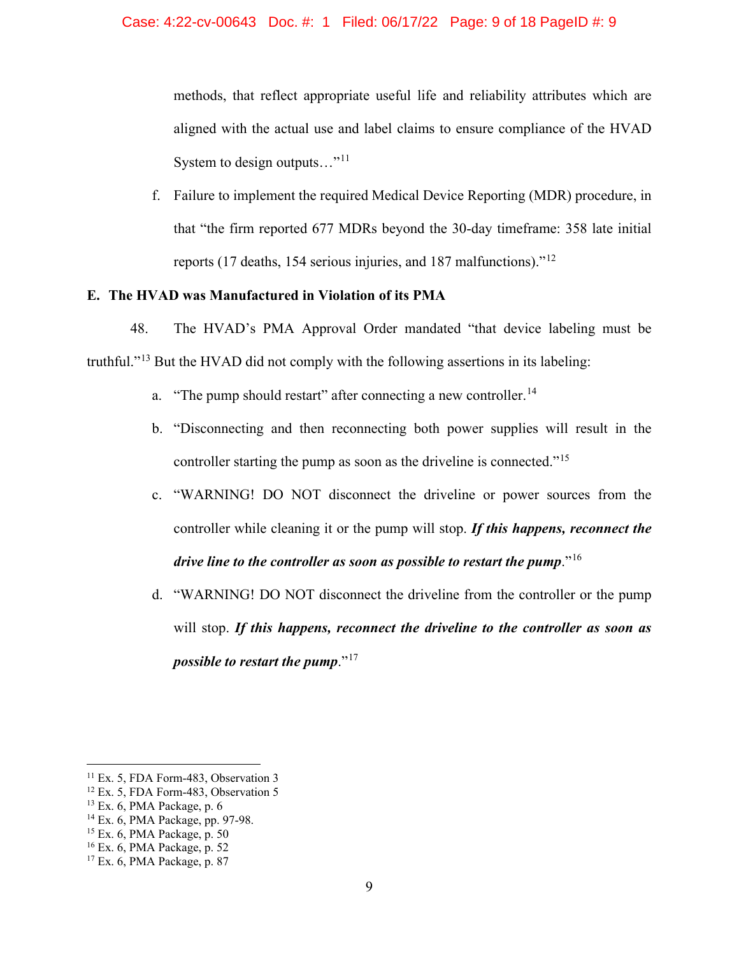methods, that reflect appropriate useful life and reliability attributes which are aligned with the actual use and label claims to ensure compliance of the HVAD System to design outputs..."<sup>[11](#page-8-0)</sup>

f. Failure to implement the required Medical Device Reporting (MDR) procedure, in that "the firm reported 677 MDRs beyond the 30-day timeframe: 358 late initial reports (17 deaths, 154 serious injuries, and 187 malfunctions)."[12](#page-8-1)

## **E. The HVAD was Manufactured in Violation of its PMA**

48. The HVAD's PMA Approval Order mandated "that device labeling must be truthful."<sup>[13](#page-8-2)</sup> But the HVAD did not comply with the following assertions in its labeling:

- a. "The pump should restart" after connecting a new controller.<sup>[14](#page-8-3)</sup>
- b. "Disconnecting and then reconnecting both power supplies will result in the controller starting the pump as soon as the driveline is connected."<sup>[15](#page-8-4)</sup>
- c. "WARNING! DO NOT disconnect the driveline or power sources from the controller while cleaning it or the pump will stop. *If this happens, reconnect the drive line to the controller as soon as possible to restart the pump*."[16](#page-8-5)
- d. "WARNING! DO NOT disconnect the driveline from the controller or the pump will stop. *If this happens, reconnect the driveline to the controller as soon as possible to restart the pump.*"<sup>[17](#page-8-6)</sup>

<span id="page-8-0"></span><sup>&</sup>lt;sup>11</sup> Ex. 5, FDA Form-483, Observation 3

<span id="page-8-1"></span><sup>&</sup>lt;sup>12</sup> Ex. 5, FDA Form-483, Observation 5

<span id="page-8-2"></span><sup>13</sup> Ex. 6, PMA Package, p. 6

<span id="page-8-3"></span><sup>14</sup> Ex. 6, PMA Package, pp. 97-98.

<span id="page-8-4"></span><sup>15</sup> Ex. 6, PMA Package, p. 50

<span id="page-8-5"></span><sup>16</sup> Ex. 6, PMA Package, p. 52

<span id="page-8-6"></span><sup>17</sup> Ex. 6, PMA Package, p. 87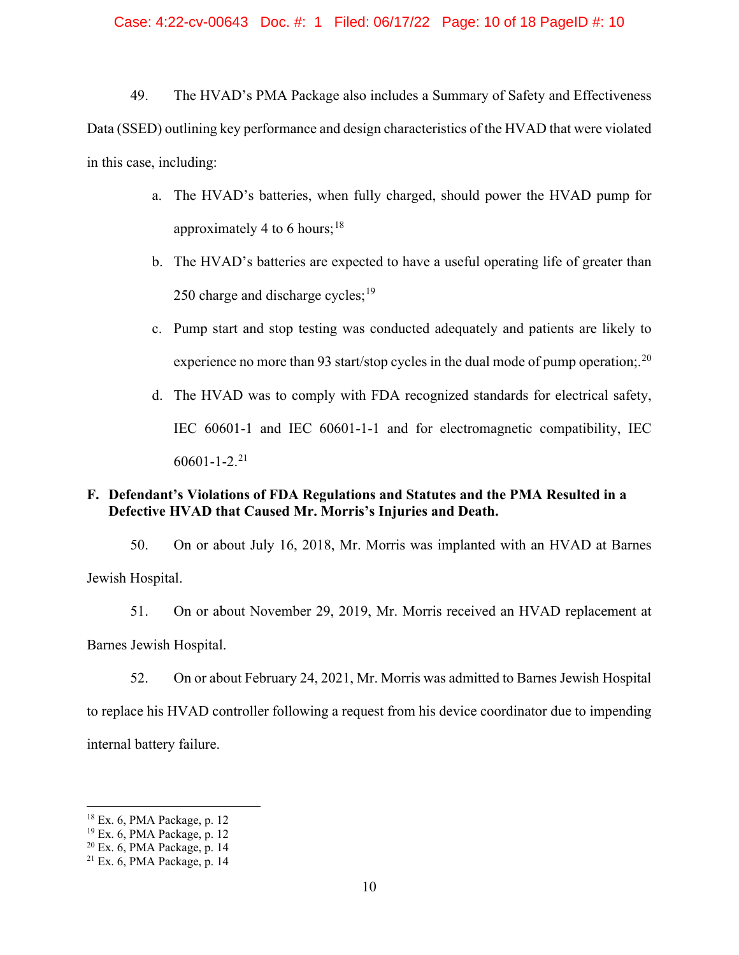## Case: 4:22-cv-00643 Doc. #: 1 Filed: 06/17/22 Page: 10 of 18 PageID #: 10

49. The HVAD's PMA Package also includes a Summary of Safety and Effectiveness Data (SSED) outlining key performance and design characteristics of the HVAD that were violated in this case, including:

- a. The HVAD's batteries, when fully charged, should power the HVAD pump for approximately 4 to 6 hours;<sup>[18](#page-9-0)</sup>
- b. The HVAD's batteries are expected to have a useful operating life of greater than 250 charge and discharge cycles; $^{19}$  $^{19}$  $^{19}$
- c. Pump start and stop testing was conducted adequately and patients are likely to experience no more than 93 start/stop cycles in the dual mode of pump operation;.<sup>[20](#page-9-2)</sup>
- d. The HVAD was to comply with FDA recognized standards for electrical safety, IEC 60601-1 and IEC 60601-1-1 and for electromagnetic compatibility, IEC  $60601 - 1 - 2.21$  $60601 - 1 - 2.21$

# **F. Defendant's Violations of FDA Regulations and Statutes and the PMA Resulted in a Defective HVAD that Caused Mr. Morris's Injuries and Death.**

50. On or about July 16, 2018, Mr. Morris was implanted with an HVAD at Barnes Jewish Hospital.

51. On or about November 29, 2019, Mr. Morris received an HVAD replacement at Barnes Jewish Hospital.

52. On or about February 24, 2021, Mr. Morris was admitted to Barnes Jewish Hospital to replace his HVAD controller following a request from his device coordinator due to impending internal battery failure.

<span id="page-9-0"></span><sup>18</sup> Ex. 6, PMA Package, p. 12

<span id="page-9-1"></span><sup>19</sup> Ex. 6, PMA Package, p. 12

<span id="page-9-2"></span> $20$  Ex. 6, PMA Package, p. 14

<span id="page-9-3"></span> $21$  Ex. 6, PMA Package, p. 14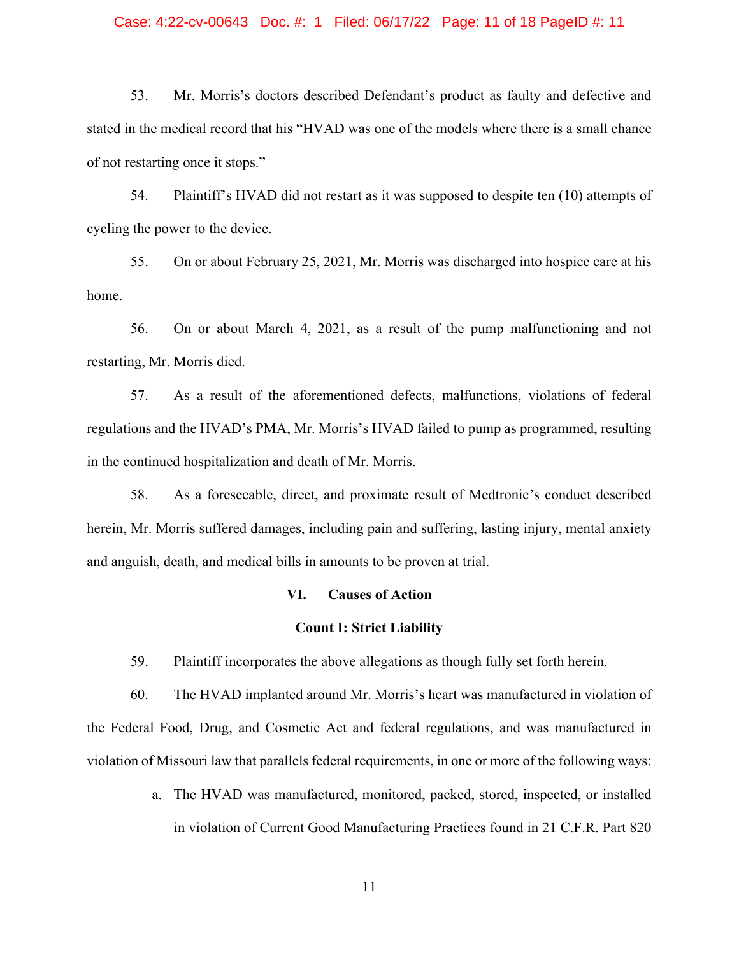### Case: 4:22-cv-00643 Doc. #: 1 Filed: 06/17/22 Page: 11 of 18 PageID #: 11

53. Mr. Morris's doctors described Defendant's product as faulty and defective and stated in the medical record that his "HVAD was one of the models where there is a small chance of not restarting once it stops."

54. Plaintiff's HVAD did not restart as it was supposed to despite ten (10) attempts of cycling the power to the device.

55. On or about February 25, 2021, Mr. Morris was discharged into hospice care at his home.

56. On or about March 4, 2021, as a result of the pump malfunctioning and not restarting, Mr. Morris died.

57. As a result of the aforementioned defects, malfunctions, violations of federal regulations and the HVAD's PMA, Mr. Morris's HVAD failed to pump as programmed, resulting in the continued hospitalization and death of Mr. Morris.

58. As a foreseeable, direct, and proximate result of Medtronic's conduct described herein, Mr. Morris suffered damages, including pain and suffering, lasting injury, mental anxiety and anguish, death, and medical bills in amounts to be proven at trial.

#### **VI. Causes of Action**

## **Count I: Strict Liability**

59. Plaintiff incorporates the above allegations as though fully set forth herein.

60. The HVAD implanted around Mr. Morris's heart was manufactured in violation of the Federal Food, Drug, and Cosmetic Act and federal regulations, and was manufactured in violation of Missouri law that parallels federal requirements, in one or more of the following ways:

> a. The HVAD was manufactured, monitored, packed, stored, inspected, or installed in violation of Current Good Manufacturing Practices found in 21 C.F.R. Part 820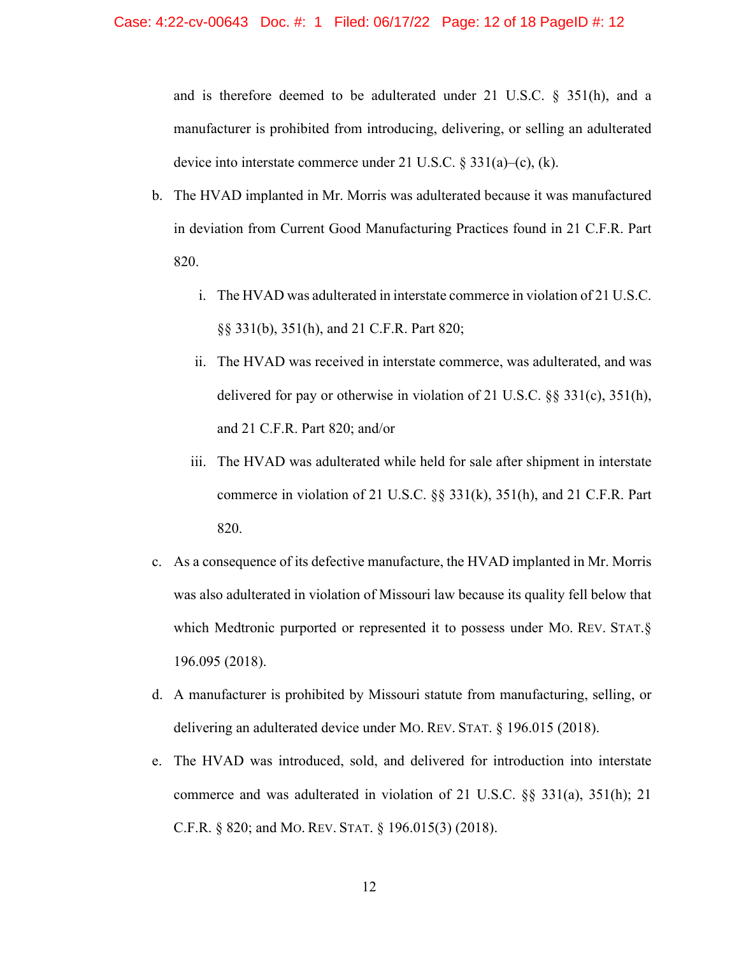and is therefore deemed to be adulterated under 21 U.S.C. § 351(h), and a manufacturer is prohibited from introducing, delivering, or selling an adulterated device into interstate commerce under 21 U.S.C. § 331(a)–(c), (k).

- b. The HVAD implanted in Mr. Morris was adulterated because it was manufactured in deviation from Current Good Manufacturing Practices found in 21 C.F.R. Part 820.
	- i. The HVAD was adulterated in interstate commerce in violation of 21 U.S.C. §§ 331(b), 351(h), and 21 C.F.R. Part 820;
	- ii. The HVAD was received in interstate commerce, was adulterated, and was delivered for pay or otherwise in violation of 21 U.S.C. §§ 331(c), 351(h), and 21 C.F.R. Part 820; and/or
	- iii. The HVAD was adulterated while held for sale after shipment in interstate commerce in violation of 21 U.S.C. §§ 331(k), 351(h), and 21 C.F.R. Part 820.
- c. As a consequence of its defective manufacture, the HVAD implanted in Mr. Morris was also adulterated in violation of Missouri law because its quality fell below that which Medtronic purported or represented it to possess under MO. REV. STAT.§ 196.095 (2018).
- d. A manufacturer is prohibited by Missouri statute from manufacturing, selling, or delivering an adulterated device under MO. REV. STAT. § 196.015 (2018).
- e. The HVAD was introduced, sold, and delivered for introduction into interstate commerce and was adulterated in violation of 21 U.S.C. §§ 331(a), 351(h); 21 C.F.R. § 820; and MO. REV. STAT. § 196.015(3) (2018).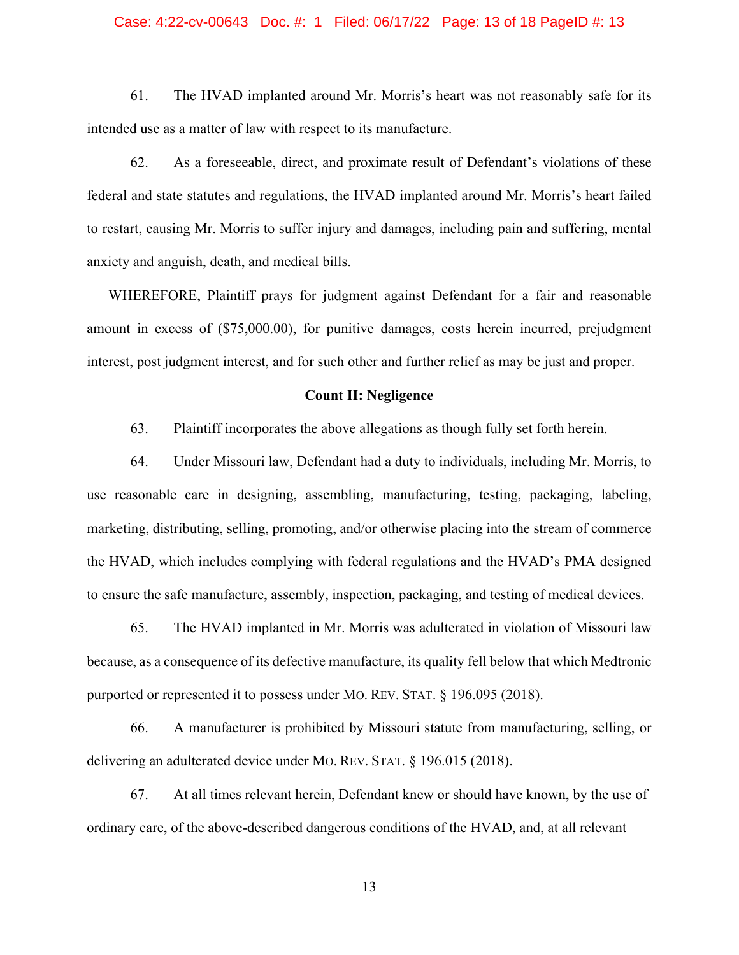### Case: 4:22-cv-00643 Doc. #: 1 Filed: 06/17/22 Page: 13 of 18 PageID #: 13

61. The HVAD implanted around Mr. Morris's heart was not reasonably safe for its intended use as a matter of law with respect to its manufacture.

62. As a foreseeable, direct, and proximate result of Defendant's violations of these federal and state statutes and regulations, the HVAD implanted around Mr. Morris's heart failed to restart, causing Mr. Morris to suffer injury and damages, including pain and suffering, mental anxiety and anguish, death, and medical bills.

WHEREFORE, Plaintiff prays for judgment against Defendant for a fair and reasonable amount in excess of (\$75,000.00), for punitive damages, costs herein incurred, prejudgment interest, post judgment interest, and for such other and further relief as may be just and proper.

## **Count II: Negligence**

63. Plaintiff incorporates the above allegations as though fully set forth herein.

64. Under Missouri law, Defendant had a duty to individuals, including Mr. Morris, to use reasonable care in designing, assembling, manufacturing, testing, packaging, labeling, marketing, distributing, selling, promoting, and/or otherwise placing into the stream of commerce the HVAD, which includes complying with federal regulations and the HVAD's PMA designed to ensure the safe manufacture, assembly, inspection, packaging, and testing of medical devices.

65. The HVAD implanted in Mr. Morris was adulterated in violation of Missouri law because, as a consequence of its defective manufacture, its quality fell below that which Medtronic purported or represented it to possess under MO. REV. STAT. § 196.095 (2018).

66. A manufacturer is prohibited by Missouri statute from manufacturing, selling, or delivering an adulterated device under MO. REV. STAT. § 196.015 (2018).

67. At all times relevant herein, Defendant knew or should have known, by the use of ordinary care, of the above-described dangerous conditions of the HVAD, and, at all relevant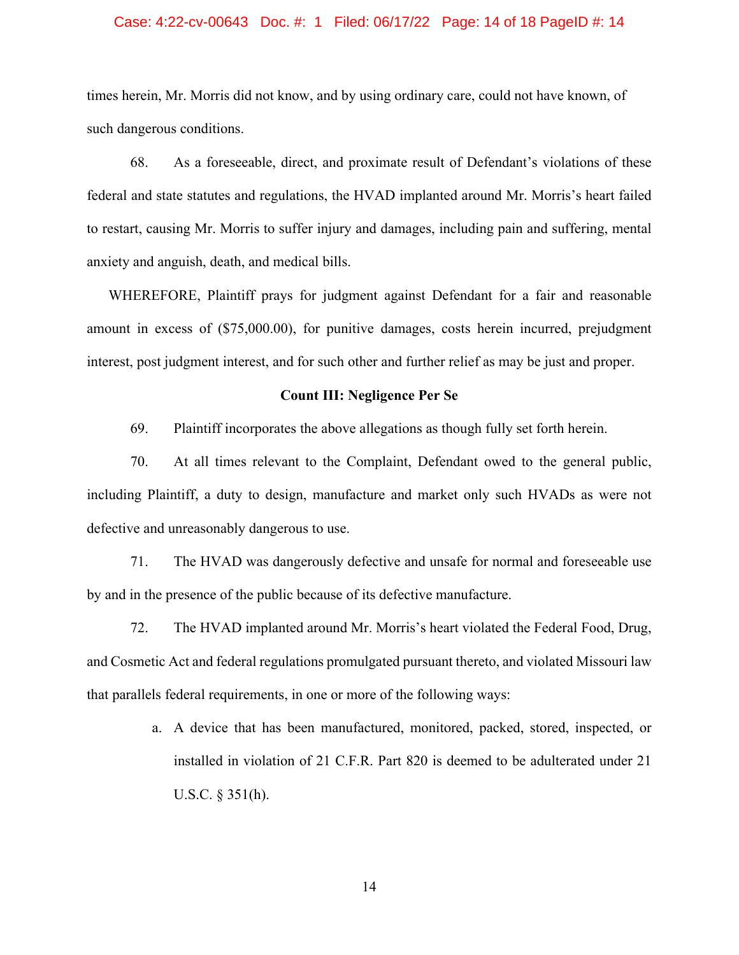#### Case: 4:22-cv-00643 Doc. #: 1 Filed: 06/17/22 Page: 14 of 18 PageID #: 14

times herein, Mr. Morris did not know, and by using ordinary care, could not have known, of such dangerous conditions.

68. As a foreseeable, direct, and proximate result of Defendant's violations of these federal and state statutes and regulations, the HVAD implanted around Mr. Morris's heart failed to restart, causing Mr. Morris to suffer injury and damages, including pain and suffering, mental anxiety and anguish, death, and medical bills.

WHEREFORE, Plaintiff prays for judgment against Defendant for a fair and reasonable amount in excess of (\$75,000.00), for punitive damages, costs herein incurred, prejudgment interest, post judgment interest, and for such other and further relief as may be just and proper.

## **Count III: Negligence Per Se**

69. Plaintiff incorporates the above allegations as though fully set forth herein.

70. At all times relevant to the Complaint, Defendant owed to the general public, including Plaintiff, a duty to design, manufacture and market only such HVADs as were not defective and unreasonably dangerous to use.

71. The HVAD was dangerously defective and unsafe for normal and foreseeable use by and in the presence of the public because of its defective manufacture.

72. The HVAD implanted around Mr. Morris's heart violated the Federal Food, Drug, and Cosmetic Act and federal regulations promulgated pursuant thereto, and violated Missouri law that parallels federal requirements, in one or more of the following ways:

> a. A device that has been manufactured, monitored, packed, stored, inspected, or installed in violation of 21 C.F.R. Part 820 is deemed to be adulterated under 21 U.S.C. § 351(h).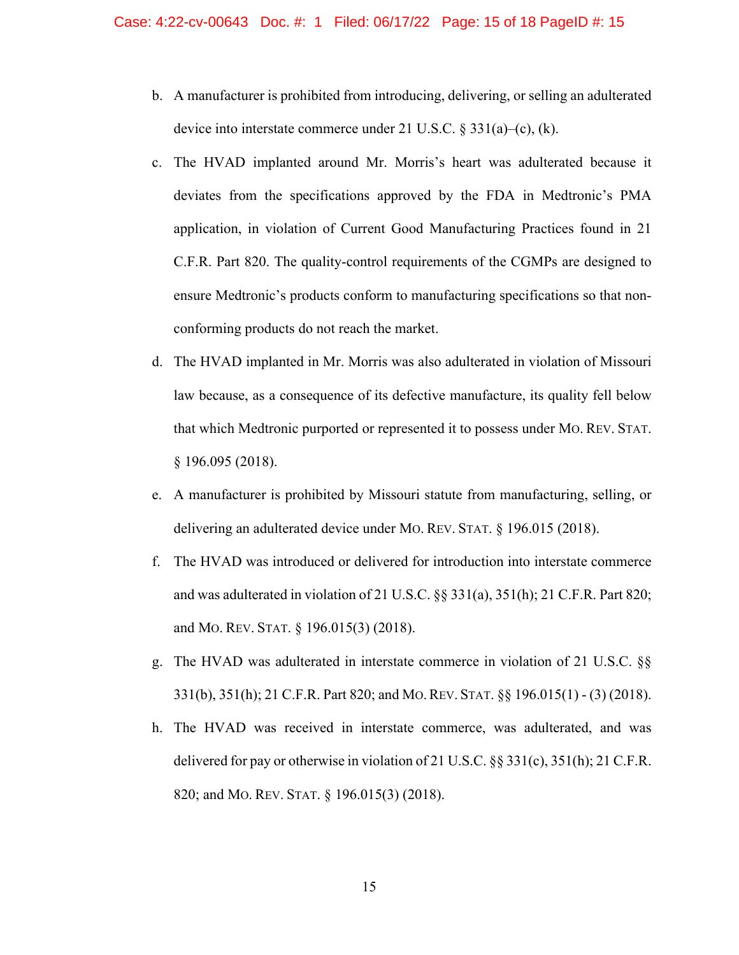- b. A manufacturer is prohibited from introducing, delivering, or selling an adulterated device into interstate commerce under 21 U.S.C. § 331(a)–(c), (k).
- c. The HVAD implanted around Mr. Morris's heart was adulterated because it deviates from the specifications approved by the FDA in Medtronic's PMA application, in violation of Current Good Manufacturing Practices found in 21 C.F.R. Part 820. The quality-control requirements of the CGMPs are designed to ensure Medtronic's products conform to manufacturing specifications so that nonconforming products do not reach the market.
- d. The HVAD implanted in Mr. Morris was also adulterated in violation of Missouri law because, as a consequence of its defective manufacture, its quality fell below that which Medtronic purported or represented it to possess under MO. REV. STAT. § 196.095 (2018).
- e. A manufacturer is prohibited by Missouri statute from manufacturing, selling, or delivering an adulterated device under MO. REV. STAT. § 196.015 (2018).
- f. The HVAD was introduced or delivered for introduction into interstate commerce and was adulterated in violation of 21 U.S.C. §§ 331(a), 351(h); 21 C.F.R. Part 820; and MO. REV. STAT. § 196.015(3) (2018).
- g. The HVAD was adulterated in interstate commerce in violation of 21 U.S.C. §§ 331(b), 351(h); 21 C.F.R. Part 820; and MO.REV. STAT. §§ 196.015(1) - (3) (2018).
- h. The HVAD was received in interstate commerce, was adulterated, and was delivered for pay or otherwise in violation of 21 U.S.C. §§ 331(c), 351(h); 21 C.F.R. 820; and MO. REV. STAT. § 196.015(3) (2018).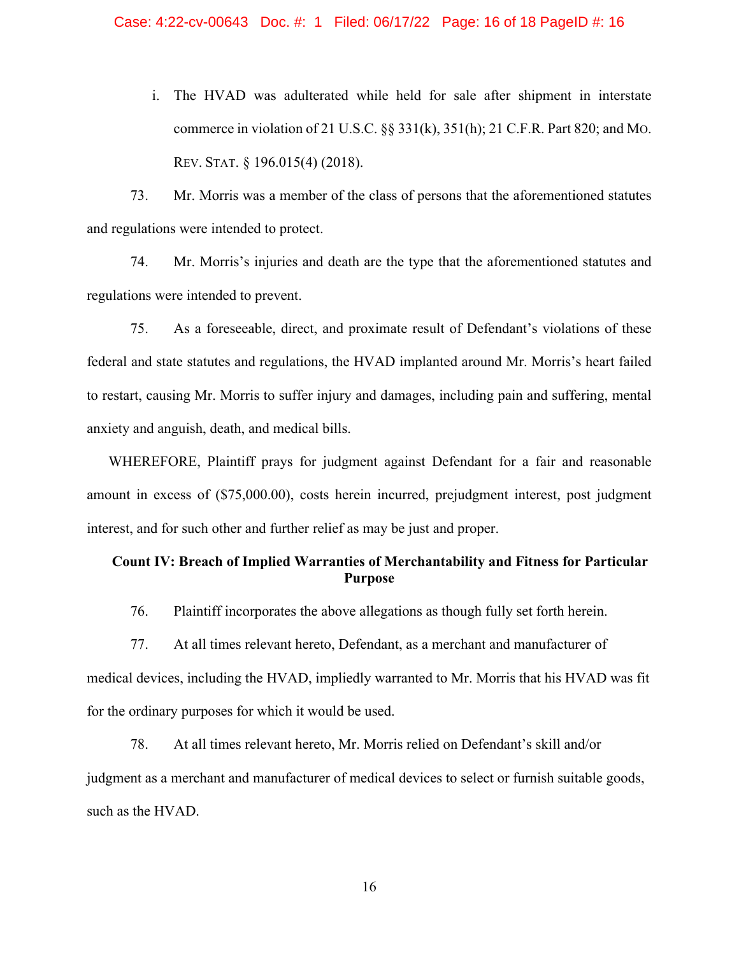i. The HVAD was adulterated while held for sale after shipment in interstate commerce in violation of 21 U.S.C. §§ 331(k), 351(h); 21 C.F.R. Part 820; and MO. REV. STAT. § 196.015(4) (2018).

73. Mr. Morris was a member of the class of persons that the aforementioned statutes and regulations were intended to protect.

74. Mr. Morris's injuries and death are the type that the aforementioned statutes and regulations were intended to prevent.

75. As a foreseeable, direct, and proximate result of Defendant's violations of these federal and state statutes and regulations, the HVAD implanted around Mr. Morris's heart failed to restart, causing Mr. Morris to suffer injury and damages, including pain and suffering, mental anxiety and anguish, death, and medical bills.

WHEREFORE, Plaintiff prays for judgment against Defendant for a fair and reasonable amount in excess of (\$75,000.00), costs herein incurred, prejudgment interest, post judgment interest, and for such other and further relief as may be just and proper.

# **Count IV: Breach of Implied Warranties of Merchantability and Fitness for Particular Purpose**

76. Plaintiff incorporates the above allegations as though fully set forth herein.

77. At all times relevant hereto, Defendant, as a merchant and manufacturer of medical devices, including the HVAD, impliedly warranted to Mr. Morris that his HVAD was fit for the ordinary purposes for which it would be used.

78. At all times relevant hereto, Mr. Morris relied on Defendant's skill and/or judgment as a merchant and manufacturer of medical devices to select or furnish suitable goods, such as the HVAD.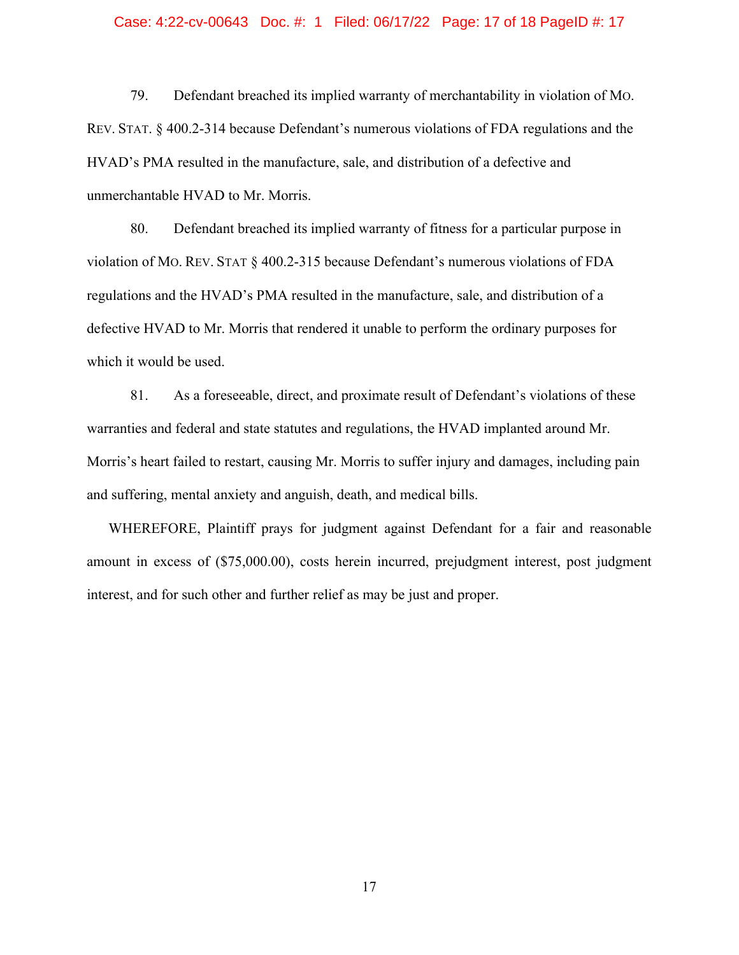#### Case: 4:22-cv-00643 Doc. #: 1 Filed: 06/17/22 Page: 17 of 18 PageID #: 17

79. Defendant breached its implied warranty of merchantability in violation of MO. REV. STAT. § 400.2-314 because Defendant's numerous violations of FDA regulations and the HVAD's PMA resulted in the manufacture, sale, and distribution of a defective and unmerchantable HVAD to Mr. Morris.

80. Defendant breached its implied warranty of fitness for a particular purpose in violation of MO. REV. STAT § 400.2-315 because Defendant's numerous violations of FDA regulations and the HVAD's PMA resulted in the manufacture, sale, and distribution of a defective HVAD to Mr. Morris that rendered it unable to perform the ordinary purposes for which it would be used.

81. As a foreseeable, direct, and proximate result of Defendant's violations of these warranties and federal and state statutes and regulations, the HVAD implanted around Mr. Morris's heart failed to restart, causing Mr. Morris to suffer injury and damages, including pain and suffering, mental anxiety and anguish, death, and medical bills.

WHEREFORE, Plaintiff prays for judgment against Defendant for a fair and reasonable amount in excess of (\$75,000.00), costs herein incurred, prejudgment interest, post judgment interest, and for such other and further relief as may be just and proper.